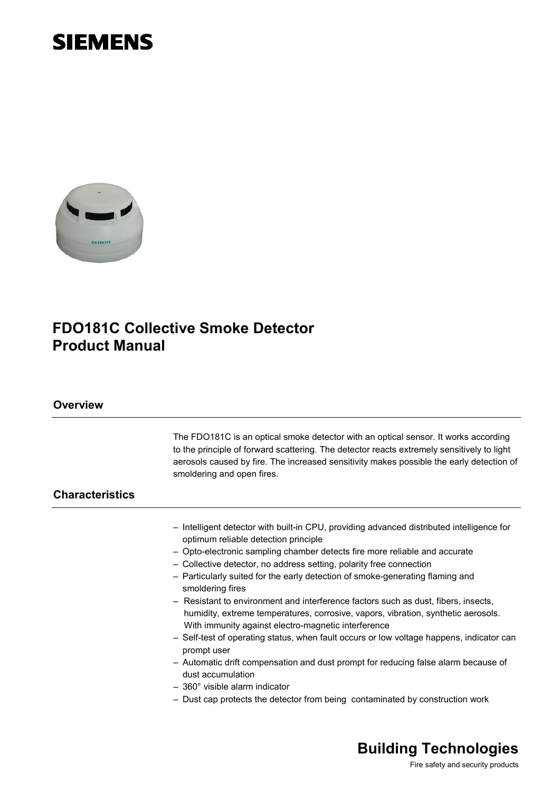



# **FDO181C Collective Smoke Detector Product Manual**

### **Overview**

|                        | The FDO181C is an optical smoke detector with an optical sensor. It works according<br>to the principle of forward scattering. The detector reacts extremely sensitively to light<br>aerosols caused by fire. The increased sensitivity makes possible the early detection of<br>smoldering and open fires.                                                                                                                                                                                                                                                                                                                                                                                                                                                                                                                                                                                   |
|------------------------|-----------------------------------------------------------------------------------------------------------------------------------------------------------------------------------------------------------------------------------------------------------------------------------------------------------------------------------------------------------------------------------------------------------------------------------------------------------------------------------------------------------------------------------------------------------------------------------------------------------------------------------------------------------------------------------------------------------------------------------------------------------------------------------------------------------------------------------------------------------------------------------------------|
| <b>Characteristics</b> |                                                                                                                                                                                                                                                                                                                                                                                                                                                                                                                                                                                                                                                                                                                                                                                                                                                                                               |
|                        | - Intelligent detector with built-in CPU, providing advanced distributed intelligence for<br>optimum reliable detection principle<br>- Opto-electronic sampling chamber detects fire more reliable and accurate<br>- Collective detector, no address setting, polarity free connection<br>- Particularly suited for the early detection of smoke-generating flaming and<br>smoldering fires<br>- Resistant to environment and interference factors such as dust, fibers, insects,<br>humidity, extreme temperatures, corrosive, vapors, vibration, synthetic aerosols.<br>With immunity against electro-magnetic interference<br>- Self-test of operating status, when fault occurs or low voltage happens, indicator can<br>prompt user<br>- Automatic drift compensation and dust prompt for reducing false alarm because of<br>dust accumulation<br>$-360^{\circ}$ visible alarm indicator |
|                        | - Dust cap protects the detector from being contaminated by construction work                                                                                                                                                                                                                                                                                                                                                                                                                                                                                                                                                                                                                                                                                                                                                                                                                 |

# **Building Technologies**

Fire safety and security products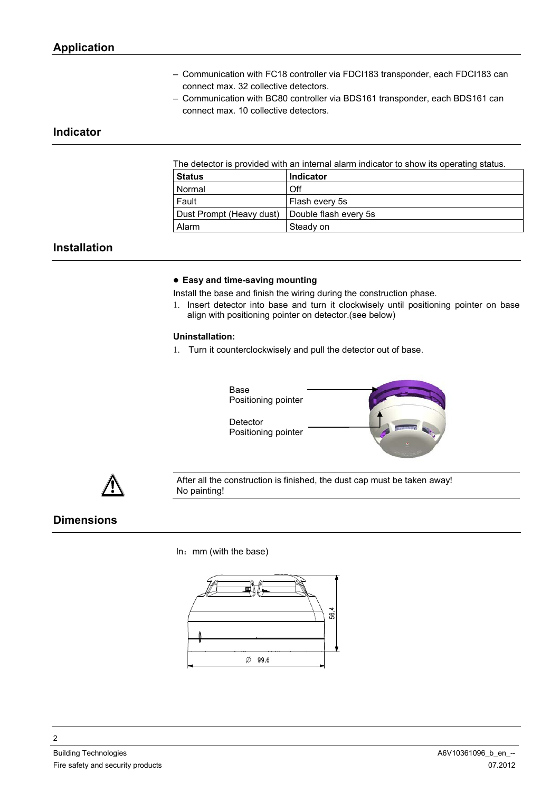- Communication with FC18 controller via FDCI183 transponder, each FDCI183 can connect max. 32 collective detectors.
- Communication with BC80 controller via BDS161 transponder, each BDS161 can connect max. 10 collective detectors.

## **Indicator**

The detector is provided with an internal alarm indicator to show its operating status.

| ∣ Status                 | <b>Indicator</b>      |
|--------------------------|-----------------------|
| Normal                   | Off                   |
| Fault                    | Flash every 5s        |
| Dust Prompt (Heavy dust) | Double flash every 5s |
| Alarm                    | Steady on             |

## **Installation**

#### **Easy and time-saving mounting**

Install the base and finish the wiring during the construction phase.

1. Insert detector into base and turn it clockwisely until positioning pointer on base align with positioning pointer on detector.(see below)

#### **Uninstallation:**

1. Turn it counterclockwisely and pull the detector out of base.





After all the construction is finished, the dust cap must be taken away! No painting!

## **Dimensions**

 $In:$  mm (with the base)

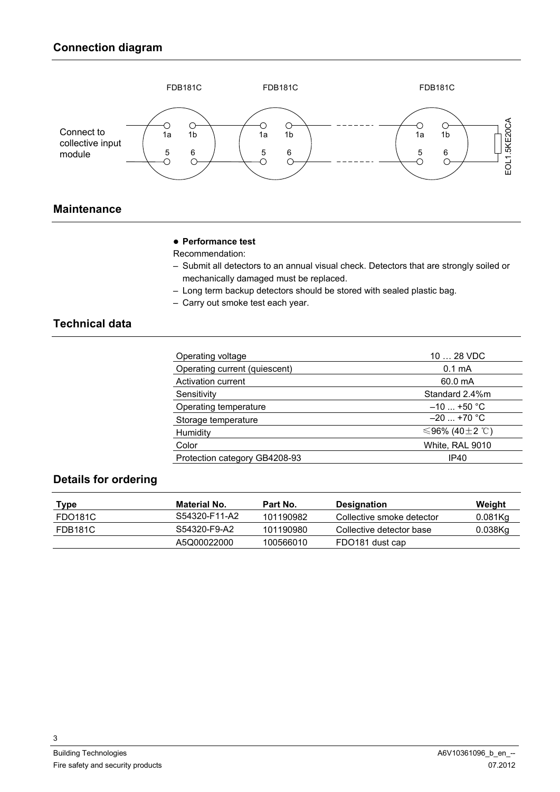

# **Maintenance**

#### **Performance test**

Recommendation:

- Submit all detectors to an annual visual check. Detectors that are strongly soiled or mechanically damaged must be replaced.
- Long term backup detectors should be stored with sealed plastic bag.
- Carry out smoke test each year.

# **Technical data**

| Operating voltage             | 10  28 VDC         |  |  |
|-------------------------------|--------------------|--|--|
| Operating current (quiescent) | 0.1 <sub>m</sub> A |  |  |
| Activation current            | 60.0 mA            |  |  |
| Sensitivity                   | Standard 2.4%m     |  |  |
| Operating temperature         | $-10$ +50 °C       |  |  |
| Storage temperature           | $-20$ +70 °C       |  |  |
| Humidity                      | ≤96% (40±2 ℃)      |  |  |
| Color                         | White, RAL 9010    |  |  |
| Protection category GB4208-93 | IP40               |  |  |
|                               |                    |  |  |

## **Details for ordering**

| Type    | Material No.  | Part No.  | Designation               | Weight     |
|---------|---------------|-----------|---------------------------|------------|
| FDO181C | S54320-F11-A2 | 101190982 | Collective smoke detector | $0.081$ Kg |
| FDB181C | S54320-F9-A2  | 101190980 | Collective detector base  | 0.038Kg    |
|         | A5Q00022000   | 100566010 | FDO181 dust cap           |            |